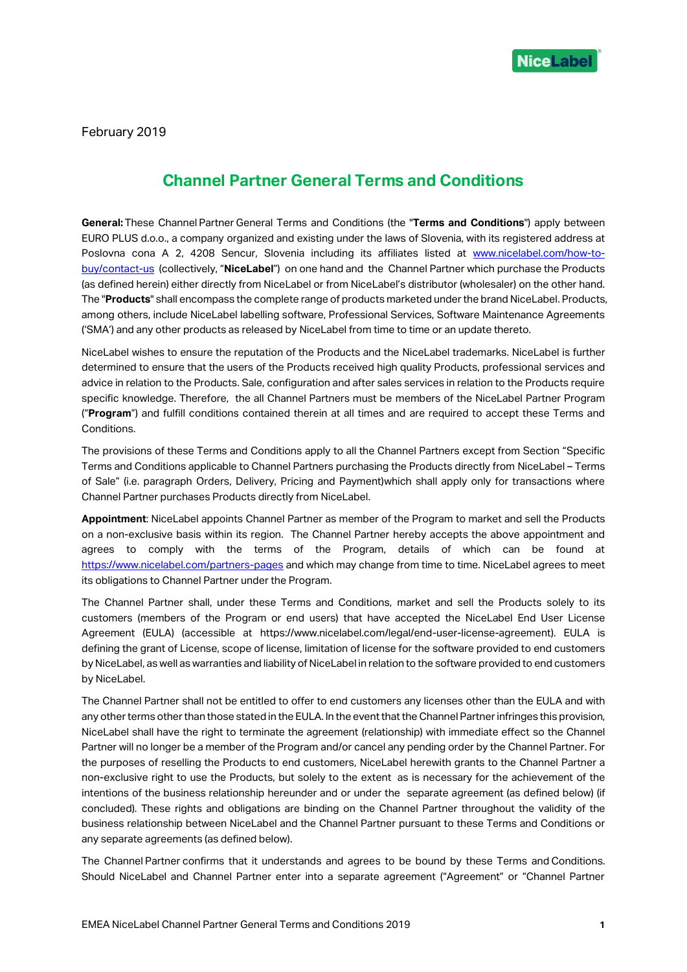

February 2019

## **Channel Partner General Terms and Conditions**

**General:** These Channel Partner General Terms and Conditions (the "**Terms and Conditions**") apply between EURO PLUS d.o.o., a company organized and existing under the laws of Slovenia, with its registered address at Poslovna cona A 2, 4208 Sencur, Slovenia including its affiliates listed at [www.nicelabel.com/how-to](http://www.nicelabel.com/how-to-buy/contact-us)[buy/contact-us](http://www.nicelabel.com/how-to-buy/contact-us) (collectively, "**NiceLabel**") on one hand and the Channel Partner which purchase the Products (as defined herein) either directly from NiceLabel or from NiceLabel's distributor (wholesaler) on the other hand. The "**Products**" shall encompass the complete range of products marketed under the brand NiceLabel. Products, among others, include NiceLabel labelling software, Professional Services, Software Maintenance Agreements ('SMA') and any other products as released by NiceLabel from time to time or an update thereto.

NiceLabel wishes to ensure the reputation of the Products and the NiceLabel trademarks. NiceLabel is further determined to ensure that the users of the Products received high quality Products, professional services and advice in relation to the Products. Sale, configuration and after sales services in relation to the Products require specific knowledge. Therefore, the all Channel Partners must be members of the NiceLabel Partner Program ("**Program**") and fulfill conditions contained therein at all times and are required to accept these Terms and Conditions.

The provisions of these Terms and Conditions apply to all the Channel Partners except from Section "Specific Terms and Conditions applicable to Channel Partners purchasing the Products directly from NiceLabel – Terms of Sale" (i.e. paragraph Orders, Delivery, Pricing and Payment)which shall apply only for transactions where Channel Partner purchases Products directly from NiceLabel.

**Appointment**: NiceLabel appoints Channel Partner as member of the Program to market and sell the Products on a non-exclusive basis within its region. The Channel Partner hereby accepts the above appointment and agrees to comply with the terms of the Program, details of which can be found at <https://www.nicelabel.com/partners-pages> and which may change from time to time. NiceLabel agrees to meet its obligations to Channel Partner under the Program.

The Channel Partner shall, under these Terms and Conditions, market and sell the Products solely to its customers (members of the Program or end users) that have accepted the NiceLabel End User License Agreement (EULA) (accessible at https://www.nicelabel.com/legal/end-user-license-agreement). EULA is defining the grant of License, scope of license, limitation of license for the software provided to end customers by NiceLabel, as well as warranties and liability of NiceLabel in relation to the software provided to end customers by NiceLabel.

The Channel Partner shall not be entitled to offer to end customers any licenses other than the EULA and with any other terms other than those stated in the EULA. In the event that the Channel Partner infringes this provision, NiceLabel shall have the right to terminate the agreement (relationship) with immediate effect so the Channel Partner will no longer be a member of the Program and/or cancel any pending order by the Channel Partner. For the purposes of reselling the Products to end customers, NiceLabel herewith grants to the Channel Partner a non-exclusive right to use the Products, but solely to the extent as is necessary for the achievement of the intentions of the business relationship hereunder and or under the separate agreement (as defined below) (if concluded). These rights and obligations are binding on the Channel Partner throughout the validity of the business relationship between NiceLabel and the Channel Partner pursuant to these Terms and Conditions or any separate agreements (as defined below).

The Channel Partner confirms that it understands and agrees to be bound by these Terms and Conditions. Should NiceLabel and Channel Partner enter into a separate agreement ("Agreement" or "Channel Partner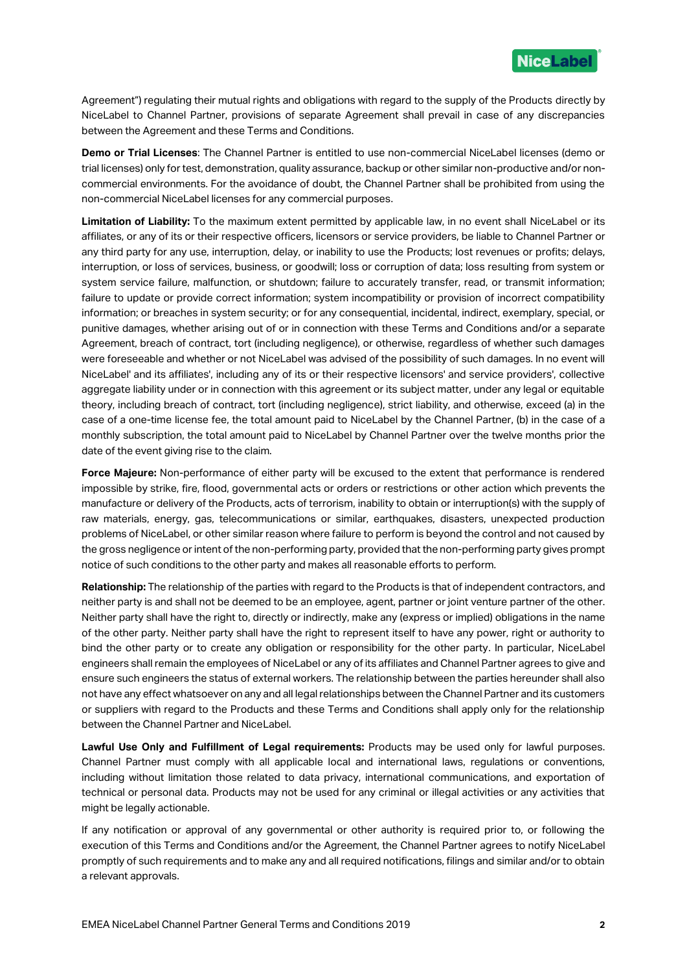

Agreement") regulating their mutual rights and obligations with regard to the supply of the Products directly by NiceLabel to Channel Partner, provisions of separate Agreement shall prevail in case of any discrepancies between the Agreement and these Terms and Conditions.

**Demo or Trial Licenses**: The Channel Partner is entitled to use non-commercial NiceLabel licenses (demo or trial licenses) only for test, demonstration, quality assurance, backup or other similar non-productive and/or noncommercial environments. For the avoidance of doubt, the Channel Partner shall be prohibited from using the non-commercial NiceLabel licenses for any commercial purposes.

**Limitation of Liability:** To the maximum extent permitted by applicable law, in no event shall NiceLabel or its affiliates, or any of its or their respective officers, licensors or service providers, be liable to Channel Partner or any third party for any use, interruption, delay, or inability to use the Products; lost revenues or profits; delays, interruption, or loss of services, business, or goodwill; loss or corruption of data; loss resulting from system or system service failure, malfunction, or shutdown; failure to accurately transfer, read, or transmit information; failure to update or provide correct information; system incompatibility or provision of incorrect compatibility information; or breaches in system security; or for any consequential, incidental, indirect, exemplary, special, or punitive damages, whether arising out of or in connection with these Terms and Conditions and/or a separate Agreement, breach of contract, tort (including negligence), or otherwise, regardless of whether such damages were foreseeable and whether or not NiceLabel was advised of the possibility of such damages. In no event will NiceLabel' and its affiliates', including any of its or their respective licensors' and service providers', collective aggregate liability under or in connection with this agreement or its subject matter, under any legal or equitable theory, including breach of contract, tort (including negligence), strict liability, and otherwise, exceed (a) in the case of a one-time license fee, the total amount paid to NiceLabel by the Channel Partner, (b) in the case of a monthly subscription, the total amount paid to NiceLabel by Channel Partner over the twelve months prior the date of the event giving rise to the claim.

**Force Majeure:** Non-performance of either party will be excused to the extent that performance is rendered impossible by strike, fire, flood, governmental acts or orders or restrictions or other action which prevents the manufacture or delivery of the Products, acts of terrorism, inability to obtain or interruption(s) with the supply of raw materials, energy, gas, telecommunications or similar, earthquakes, disasters, unexpected production problems of NiceLabel, or other similar reason where failure to perform is beyond the control and not caused by the gross negligence or intent of the non-performing party, provided that the non-performing party gives prompt notice of such conditions to the other party and makes all reasonable efforts to perform.

**Relationship:** The relationship of the parties with regard to the Products is that of independent contractors, and neither party is and shall not be deemed to be an employee, agent, partner or joint venture partner of the other. Neither party shall have the right to, directly or indirectly, make any (express or implied) obligations in the name of the other party. Neither party shall have the right to represent itself to have any power, right or authority to bind the other party or to create any obligation or responsibility for the other party. In particular, NiceLabel engineers shall remain the employees of NiceLabel or any of its affiliates and Channel Partner agrees to give and ensure such engineers the status of external workers. The relationship between the parties hereunder shall also not have any effect whatsoever on any and all legal relationships between the Channel Partner and its customers or suppliers with regard to the Products and these Terms and Conditions shall apply only for the relationship between the Channel Partner and NiceLabel.

**Lawful Use Only and Fulfillment of Legal requirements:** Products may be used only for lawful purposes. Channel Partner must comply with all applicable local and international laws, regulations or conventions, including without limitation those related to data privacy, international communications, and exportation of technical or personal data. Products may not be used for any criminal or illegal activities or any activities that might be legally actionable.

If any notification or approval of any governmental or other authority is required prior to, or following the execution of this Terms and Conditions and/or the Agreement, the Channel Partner agrees to notify NiceLabel promptly of such requirements and to make any and all required notifications, filings and similar and/or to obtain a relevant approvals.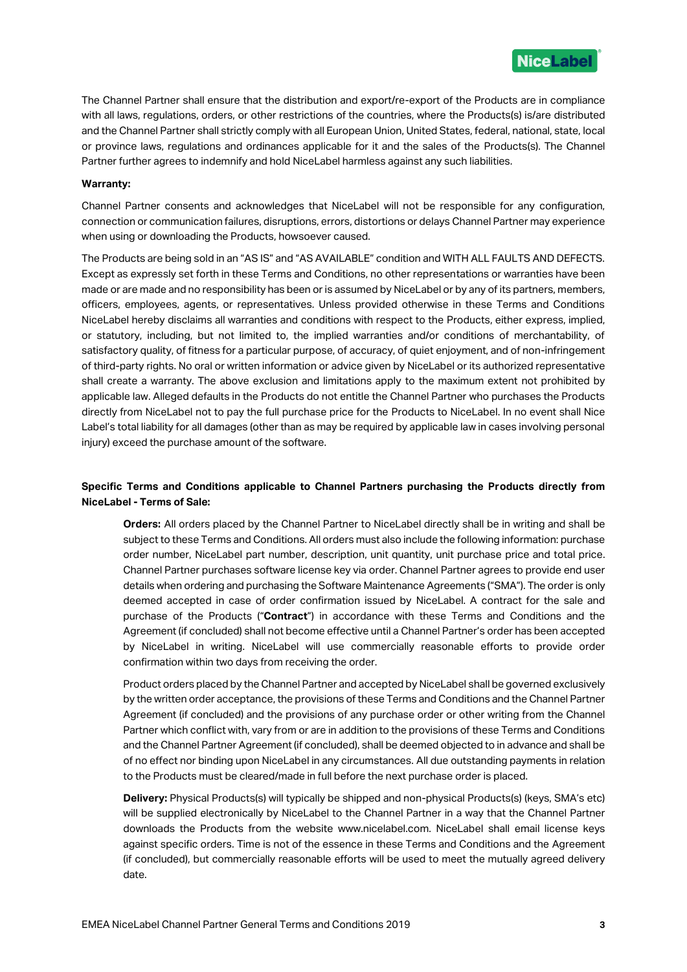

The Channel Partner shall ensure that the distribution and export/re-export of the Products are in compliance with all laws, regulations, orders, or other restrictions of the countries, where the Products(s) is/are distributed and the Channel Partner shall strictly comply with all European Union, United States, federal, national, state, local or province laws, regulations and ordinances applicable for it and the sales of the Products(s). The Channel Partner further agrees to indemnify and hold NiceLabel harmless against any such liabilities.

## **Warranty:**

Channel Partner consents and acknowledges that NiceLabel will not be responsible for any configuration, connection or communication failures, disruptions, errors, distortions or delays Channel Partner may experience when using or downloading the Products, howsoever caused.

The Products are being sold in an "AS IS" and "AS AVAILABLE" condition and WITH ALL FAULTS AND DEFECTS. Except as expressly set forth in these Terms and Conditions, no other representations or warranties have been made or are made and no responsibility has been or is assumed by NiceLabel or by any of its partners, members, officers, employees, agents, or representatives. Unless provided otherwise in these Terms and Conditions NiceLabel hereby disclaims all warranties and conditions with respect to the Products, either express, implied, or statutory, including, but not limited to, the implied warranties and/or conditions of merchantability, of satisfactory quality, of fitness for a particular purpose, of accuracy, of quiet enjoyment, and of non-infringement of third-party rights. No oral or written information or advice given by NiceLabel or its authorized representative shall create a warranty. The above exclusion and limitations apply to the maximum extent not prohibited by applicable law. Alleged defaults in the Products do not entitle the Channel Partner who purchases the Products directly from NiceLabel not to pay the full purchase price for the Products to NiceLabel. In no event shall Nice Label's total liability for all damages (other than as may be required by applicable law in cases involving personal injury) exceed the purchase amount of the software.

## **Specific Terms and Conditions applicable to Channel Partners purchasing the Products directly from NiceLabel - Terms of Sale:**

**Orders:** All orders placed by the Channel Partner to NiceLabel directly shall be in writing and shall be subject to these Terms and Conditions. All orders must also include the following information: purchase order number, NiceLabel part number, description, unit quantity, unit purchase price and total price. Channel Partner purchases software license key via order. Channel Partner agrees to provide end user details when ordering and purchasing the Software Maintenance Agreements ("SMA"). The order is only deemed accepted in case of order confirmation issued by NiceLabel. A contract for the sale and purchase of the Products ("**Contract**") in accordance with these Terms and Conditions and the Agreement (if concluded) shall not become effective until a Channel Partner's order has been accepted by NiceLabel in writing. NiceLabel will use commercially reasonable efforts to provide order confirmation within two days from receiving the order.

Product orders placed by the Channel Partner and accepted by NiceLabel shall be governed exclusively by the written order acceptance, the provisions of these Terms and Conditions and the Channel Partner Agreement (if concluded) and the provisions of any purchase order or other writing from the Channel Partner which conflict with, vary from or are in addition to the provisions of these Terms and Conditions and the Channel Partner Agreement (if concluded), shall be deemed objected to in advance and shall be of no effect nor binding upon NiceLabel in any circumstances. All due outstanding payments in relation to the Products must be cleared/made in full before the next purchase order is placed.

**Delivery:** Physical Products(s) will typically be shipped and non-physical Products(s) (keys, SMA's etc) will be supplied electronically by NiceLabel to the Channel Partner in a way that the Channel Partner downloads the Products from the website www.nicelabel.com. NiceLabel shall email license keys against specific orders. Time is not of the essence in these Terms and Conditions and the Agreement (if concluded), but commercially reasonable efforts will be used to meet the mutually agreed delivery date.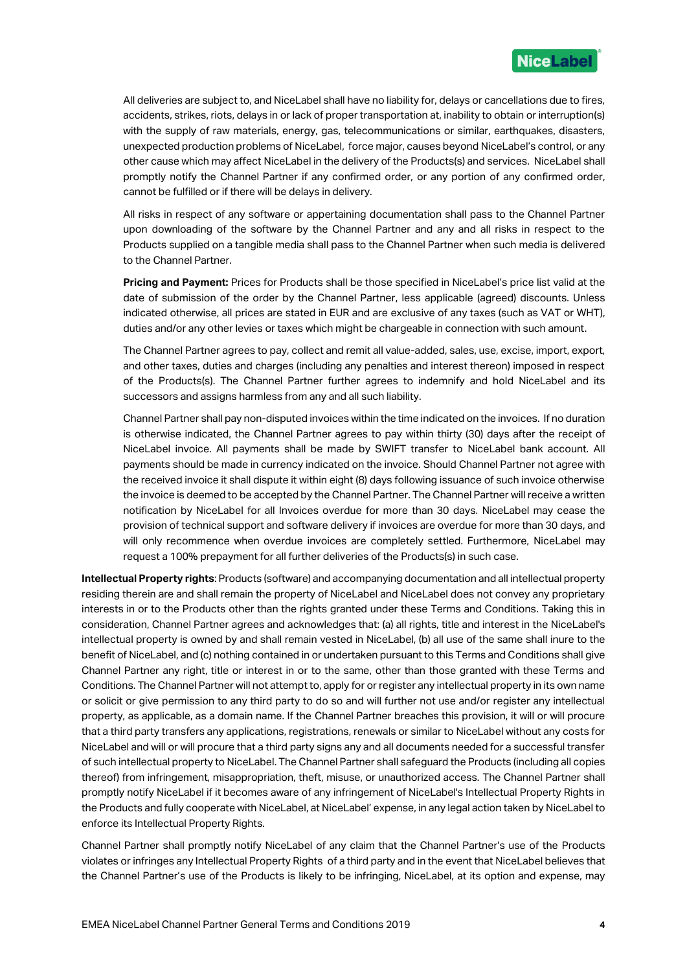

All deliveries are subject to, and NiceLabel shall have no liability for, delays or cancellations due to fires, accidents, strikes, riots, delays in or lack of proper transportation at, inability to obtain or interruption(s) with the supply of raw materials, energy, gas, telecommunications or similar, earthquakes, disasters, unexpected production problems of NiceLabel, force major, causes beyond NiceLabel's control, or any other cause which may affect NiceLabel in the delivery of the Products(s) and services. NiceLabel shall promptly notify the Channel Partner if any confirmed order, or any portion of any confirmed order, cannot be fulfilled or if there will be delays in delivery.

All risks in respect of any software or appertaining documentation shall pass to the Channel Partner upon downloading of the software by the Channel Partner and any and all risks in respect to the Products supplied on a tangible media shall pass to the Channel Partner when such media is delivered to the Channel Partner.

**Pricing and Payment:** Prices for Products shall be those specified in NiceLabel's price list valid at the date of submission of the order by the Channel Partner, less applicable (agreed) discounts. Unless indicated otherwise, all prices are stated in EUR and are exclusive of any taxes (such as VAT or WHT), duties and/or any other levies or taxes which might be chargeable in connection with such amount.

The Channel Partner agrees to pay, collect and remit all value-added, sales, use, excise, import, export, and other taxes, duties and charges (including any penalties and interest thereon) imposed in respect of the Products(s). The Channel Partner further agrees to indemnify and hold NiceLabel and its successors and assigns harmless from any and all such liability.

Channel Partner shall pay non-disputed invoices within the time indicated on the invoices. If no duration is otherwise indicated, the Channel Partner agrees to pay within thirty (30) days after the receipt of NiceLabel invoice. All payments shall be made by SWIFT transfer to NiceLabel bank account. All payments should be made in currency indicated on the invoice. Should Channel Partner not agree with the received invoice it shall dispute it within eight (8) days following issuance of such invoice otherwise the invoice is deemed to be accepted by the Channel Partner. The Channel Partner will receive a written notification by NiceLabel for all Invoices overdue for more than 30 days. NiceLabel may cease the provision of technical support and software delivery if invoices are overdue for more than 30 days, and will only recommence when overdue invoices are completely settled. Furthermore, NiceLabel may request a 100% prepayment for all further deliveries of the Products(s) in such case.

**Intellectual Property rights**: Products (software) and accompanying documentation and all intellectual property residing therein are and shall remain the property of NiceLabel and NiceLabel does not convey any proprietary interests in or to the Products other than the rights granted under these Terms and Conditions. Taking this in consideration, Channel Partner agrees and acknowledges that: (a) all rights, title and interest in the NiceLabel's intellectual property is owned by and shall remain vested in NiceLabel, (b) all use of the same shall inure to the benefit of NiceLabel, and (c) nothing contained in or undertaken pursuant to this Terms and Conditions shall give Channel Partner any right, title or interest in or to the same, other than those granted with these Terms and Conditions. The Channel Partner will not attempt to, apply for or register any intellectual property in its own name or solicit or give permission to any third party to do so and will further not use and/or register any intellectual property, as applicable, as a domain name. If the Channel Partner breaches this provision, it will or will procure that a third party transfers any applications, registrations, renewals or similar to NiceLabel without any costs for NiceLabel and will or will procure that a third party signs any and all documents needed for a successful transfer of such intellectual property to NiceLabel. The Channel Partner shall safeguard the Products (including all copies thereof) from infringement, misappropriation, theft, misuse, or unauthorized access. The Channel Partner shall promptly notify NiceLabel if it becomes aware of any infringement of NiceLabel's Intellectual Property Rights in the Products and fully cooperate with NiceLabel, at NiceLabel' expense, in any legal action taken by NiceLabel to enforce its Intellectual Property Rights.

Channel Partner shall promptly notify NiceLabel of any claim that the Channel Partner's use of the Products violates or infringes any Intellectual Property Rights of a third party and in the event that NiceLabel believes that the Channel Partner's use of the Products is likely to be infringing, NiceLabel, at its option and expense, may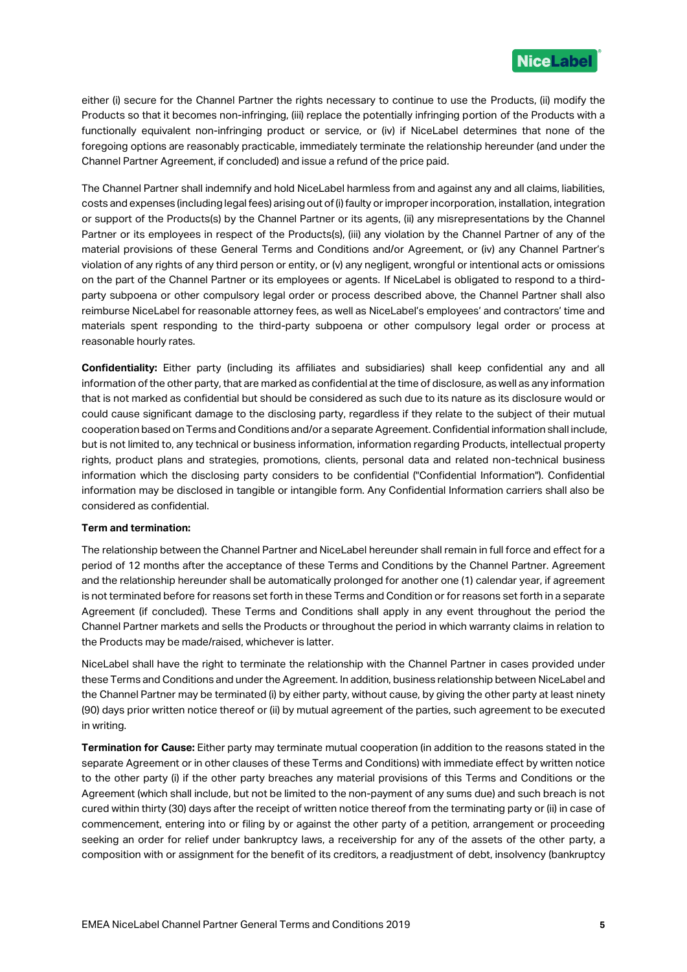

either (i) secure for the Channel Partner the rights necessary to continue to use the Products, (ii) modify the Products so that it becomes non-infringing, (iii) replace the potentially infringing portion of the Products with a functionally equivalent non-infringing product or service, or (iv) if NiceLabel determines that none of the foregoing options are reasonably practicable, immediately terminate the relationship hereunder (and under the Channel Partner Agreement, if concluded) and issue a refund of the price paid.

The Channel Partner shall indemnify and hold NiceLabel harmless from and against any and all claims, liabilities, costs and expenses (including legal fees) arising out of (i) faulty or improper incorporation, installation, integration or support of the Products(s) by the Channel Partner or its agents, (ii) any misrepresentations by the Channel Partner or its employees in respect of the Products(s), (iii) any violation by the Channel Partner of any of the material provisions of these General Terms and Conditions and/or Agreement, or (iv) any Channel Partner's violation of any rights of any third person or entity, or (v) any negligent, wrongful or intentional acts or omissions on the part of the Channel Partner or its employees or agents. If NiceLabel is obligated to respond to a thirdparty subpoena or other compulsory legal order or process described above, the Channel Partner shall also reimburse NiceLabel for reasonable attorney fees, as well as NiceLabel's employees' and contractors' time and materials spent responding to the third-party subpoena or other compulsory legal order or process at reasonable hourly rates.

**Confidentiality:** Either party (including its affiliates and subsidiaries) shall keep confidential any and all information of the other party, that are marked as confidential at the time of disclosure, as well as any information that is not marked as confidential but should be considered as such due to its nature as its disclosure would or could cause significant damage to the disclosing party, regardless if they relate to the subject of their mutual cooperation based on Terms and Conditions and/or a separate Agreement. Confidential information shall include, but is not limited to, any technical or business information, information regarding Products, intellectual property rights, product plans and strategies, promotions, clients, personal data and related non-technical business information which the disclosing party considers to be confidential ("Confidential Information"). Confidential information may be disclosed in tangible or intangible form. Any Confidential Information carriers shall also be considered as confidential.

## **Term and termination:**

The relationship between the Channel Partner and NiceLabel hereunder shall remain in full force and effect for a period of 12 months after the acceptance of these Terms and Conditions by the Channel Partner. Agreement and the relationship hereunder shall be automatically prolonged for another one (1) calendar year, if agreement is not terminated before for reasons set forth in these Terms and Condition or for reasons set forth in a separate Agreement (if concluded). These Terms and Conditions shall apply in any event throughout the period the Channel Partner markets and sells the Products or throughout the period in which warranty claims in relation to the Products may be made/raised, whichever is latter.

NiceLabel shall have the right to terminate the relationship with the Channel Partner in cases provided under these Terms and Conditions and under the Agreement. In addition, business relationship between NiceLabel and the Channel Partner may be terminated (i) by either party, without cause, by giving the other party at least ninety (90) days prior written notice thereof or (ii) by mutual agreement of the parties, such agreement to be executed in writing.

**Termination for Cause:** Either party may terminate mutual cooperation (in addition to the reasons stated in the separate Agreement or in other clauses of these Terms and Conditions) with immediate effect by written notice to the other party (i) if the other party breaches any material provisions of this Terms and Conditions or the Agreement (which shall include, but not be limited to the non-payment of any sums due) and such breach is not cured within thirty (30) days after the receipt of written notice thereof from the terminating party or (ii) in case of commencement, entering into or filing by or against the other party of a petition, arrangement or proceeding seeking an order for relief under bankruptcy laws, a receivership for any of the assets of the other party, a composition with or assignment for the benefit of its creditors, a readjustment of debt, insolvency (bankruptcy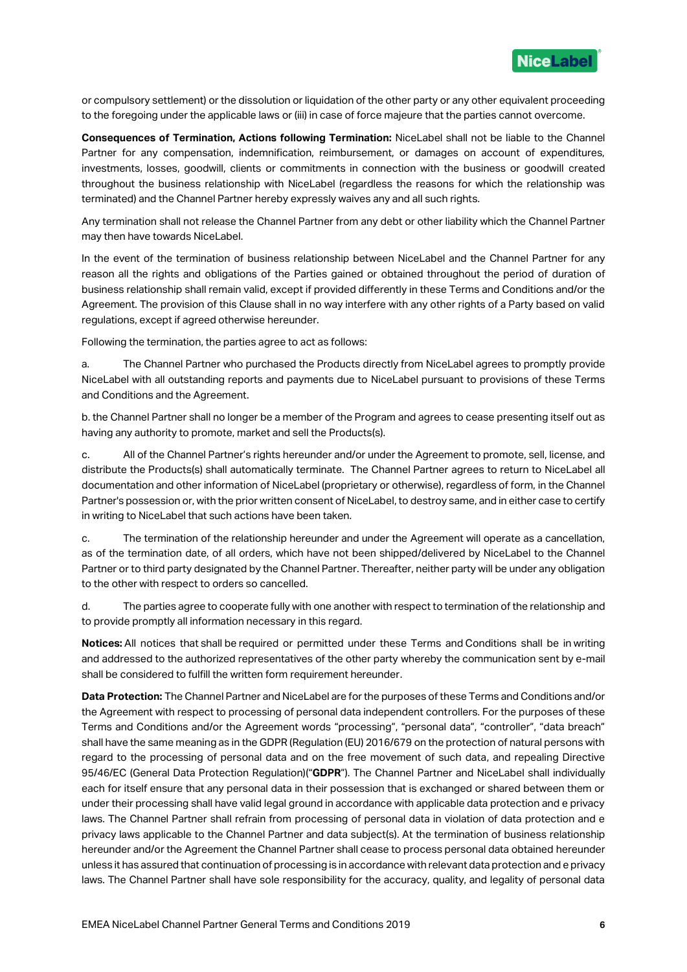

or compulsory settlement) or the dissolution or liquidation of the other party or any other equivalent proceeding to the foregoing under the applicable laws or (iii) in case of force majeure that the parties cannot overcome.

**Consequences of Termination, Actions following Termination:** NiceLabel shall not be liable to the Channel Partner for any compensation, indemnification, reimbursement, or damages on account of expenditures, investments, losses, goodwill, clients or commitments in connection with the business or goodwill created throughout the business relationship with NiceLabel (regardless the reasons for which the relationship was terminated) and the Channel Partner hereby expressly waives any and all such rights.

Any termination shall not release the Channel Partner from any debt or other liability which the Channel Partner may then have towards NiceLabel.

In the event of the termination of business relationship between NiceLabel and the Channel Partner for any reason all the rights and obligations of the Parties gained or obtained throughout the period of duration of business relationship shall remain valid, except if provided differently in these Terms and Conditions and/or the Agreement. The provision of this Clause shall in no way interfere with any other rights of a Party based on valid regulations, except if agreed otherwise hereunder.

Following the termination, the parties agree to act as follows:

a. The Channel Partner who purchased the Products directly from NiceLabel agrees to promptly provide NiceLabel with all outstanding reports and payments due to NiceLabel pursuant to provisions of these Terms and Conditions and the Agreement.

b. the Channel Partner shall no longer be a member of the Program and agrees to cease presenting itself out as having any authority to promote, market and sell the Products(s).

c. All of the Channel Partner's rights hereunder and/or under the Agreement to promote, sell, license, and distribute the Products(s) shall automatically terminate. The Channel Partner agrees to return to NiceLabel all documentation and other information of NiceLabel (proprietary or otherwise), regardless of form, in the Channel Partner's possession or, with the prior written consent of NiceLabel, to destroy same, and in either case to certify in writing to NiceLabel that such actions have been taken.

c. The termination of the relationship hereunder and under the Agreement will operate as a cancellation, as of the termination date, of all orders, which have not been shipped/delivered by NiceLabel to the Channel Partner or to third party designated by the Channel Partner. Thereafter, neither party will be under any obligation to the other with respect to orders so cancelled.

d. The parties agree to cooperate fully with one another with respect to termination of the relationship and to provide promptly all information necessary in this regard.

**Notices:** All notices that shall be required or permitted under these Terms and Conditions shall be in writing and addressed to the authorized representatives of the other party whereby the communication sent by e-mail shall be considered to fulfill the written form requirement hereunder.

**Data Protection:** The Channel Partner and NiceLabel are for the purposes of these Terms and Conditions and/or the Agreement with respect to processing of personal data independent controllers. For the purposes of these Terms and Conditions and/or the Agreement words "processing", "personal data", "controller", "data breach" shall have the same meaning as in the GDPR (Regulation (EU) 2016/679 on the protection of natural persons with regard to the processing of personal data and on the free movement of such data, and repealing Directive 95/46/EC (General Data Protection Regulation)("**GDPR**"). The Channel Partner and NiceLabel shall individually each for itself ensure that any personal data in their possession that is exchanged or shared between them or under their processing shall have valid legal ground in accordance with applicable data protection and e privacy laws. The Channel Partner shall refrain from processing of personal data in violation of data protection and e privacy laws applicable to the Channel Partner and data subject(s). At the termination of business relationship hereunder and/or the Agreement the Channel Partner shall cease to process personal data obtained hereunder unless it has assured that continuation of processing is in accordance with relevant data protection and e privacy laws. The Channel Partner shall have sole responsibility for the accuracy, quality, and legality of personal data